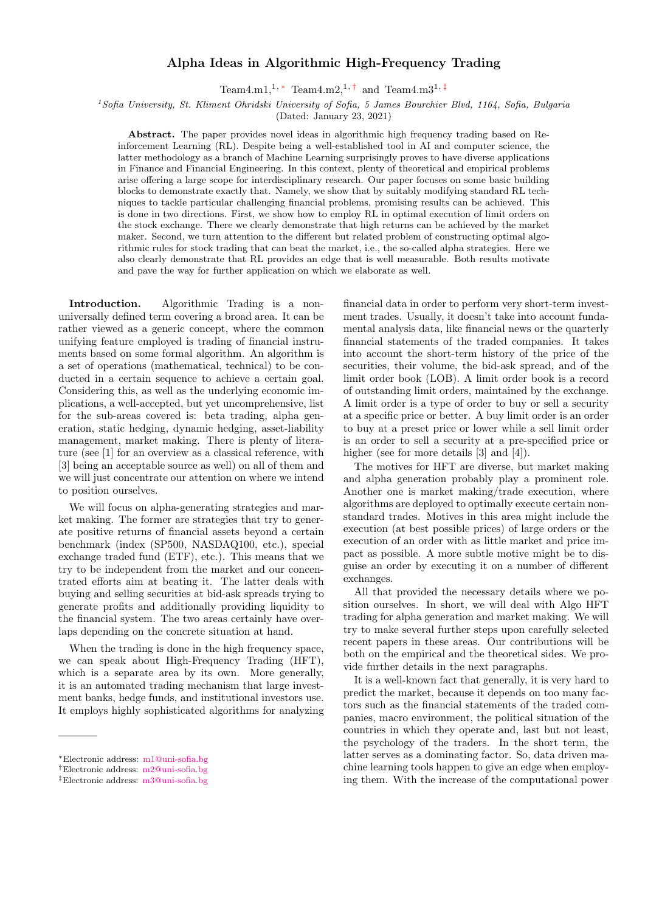## Alpha Ideas in Algorithmic High-Frequency Trading

Team4.m1,<sup>1, [∗](#page-0-0)</sup> Team4.m2,<sup>1,[†](#page-0-1)</sup> and Team4.m3<sup>1,[‡](#page-0-2)</sup>

<sup>1</sup>Sofia University, St. Kliment Ohridski University of Sofia, 5 James Bourchier Blvd, 1164, Sofia, Bulgaria

(Dated: January 23, 2021)

Abstract. The paper provides novel ideas in algorithmic high frequency trading based on Reinforcement Learning (RL). Despite being a well-established tool in AI and computer science, the latter methodology as a branch of Machine Learning surprisingly proves to have diverse applications in Finance and Financial Engineering. In this context, plenty of theoretical and empirical problems arise offering a large scope for interdisciplinary research. Our paper focuses on some basic building blocks to demonstrate exactly that. Namely, we show that by suitably modifying standard RL techniques to tackle particular challenging financial problems, promising results can be achieved. This is done in two directions. First, we show how to employ RL in optimal execution of limit orders on the stock exchange. There we clearly demonstrate that high returns can be achieved by the market maker. Second, we turn attention to the different but related problem of constructing optimal algorithmic rules for stock trading that can beat the market, i.e., the so-called alpha strategies. Here we also clearly demonstrate that RL provides an edge that is well measurable. Both results motivate and pave the way for further application on which we elaborate as well.

Introduction. Algorithmic Trading is a nonuniversally defined term covering a broad area. It can be rather viewed as a generic concept, where the common unifying feature employed is trading of financial instruments based on some formal algorithm. An algorithm is a set of operations (mathematical, technical) to be conducted in a certain sequence to achieve a certain goal. Considering this, as well as the underlying economic implications, a well-accepted, but yet uncomprehensive, list for the sub-areas covered is: beta trading, alpha generation, static hedging, dynamic hedging, asset-liability management, market making. There is plenty of literature (see [1] for an overview as a classical reference, with [3] being an acceptable source as well) on all of them and we will just concentrate our attention on where we intend to position ourselves.

We will focus on alpha-generating strategies and market making. The former are strategies that try to generate positive returns of financial assets beyond a certain benchmark (index (SP500, NASDAQ100, etc.), special exchange traded fund (ETF), etc.). This means that we try to be independent from the market and our concentrated efforts aim at beating it. The latter deals with buying and selling securities at bid-ask spreads trying to generate profits and additionally providing liquidity to the financial system. The two areas certainly have overlaps depending on the concrete situation at hand.

When the trading is done in the high frequency space, we can speak about High-Frequency Trading (HFT), which is a separate area by its own. More generally, it is an automated trading mechanism that large investment banks, hedge funds, and institutional investors use. It employs highly sophisticated algorithms for analyzing financial data in order to perform very short-term investment trades. Usually, it doesn't take into account fundamental analysis data, like financial news or the quarterly financial statements of the traded companies. It takes into account the short-term history of the price of the securities, their volume, the bid-ask spread, and of the limit order book (LOB). A limit order book is a record of outstanding limit orders, maintained by the exchange. A limit order is a type of order to buy or sell a security at a specific price or better. A buy limit order is an order to buy at a preset price or lower while a sell limit order is an order to sell a security at a pre-specified price or higher (see for more details [3] and [4]).

The motives for HFT are diverse, but market making and alpha generation probably play a prominent role. Another one is market making/trade execution, where algorithms are deployed to optimally execute certain nonstandard trades. Motives in this area might include the execution (at best possible prices) of large orders or the execution of an order with as little market and price impact as possible. A more subtle motive might be to disguise an order by executing it on a number of different exchanges.

All that provided the necessary details where we position ourselves. In short, we will deal with Algo HFT trading for alpha generation and market making. We will try to make several further steps upon carefully selected recent papers in these areas. Our contributions will be both on the empirical and the theoretical sides. We provide further details in the next paragraphs.

It is a well-known fact that generally, it is very hard to predict the market, because it depends on too many factors such as the financial statements of the traded companies, macro environment, the political situation of the countries in which they operate and, last but not least, the psychology of the traders. In the short term, the latter serves as a dominating factor. So, data driven machine learning tools happen to give an edge when employing them. With the increase of the computational power

<span id="page-0-0"></span><sup>∗</sup>Electronic address: [m1@uni-sofia.bg](mailto:m1@uni-sofia.bg)

<span id="page-0-1"></span><sup>†</sup>Electronic address: [m2@uni-sofia.bg](mailto:m2@uni-sofia.bg)

<span id="page-0-2"></span><sup>‡</sup>Electronic address: [m3@uni-sofia.bg](mailto:m3@uni-sofia.bg)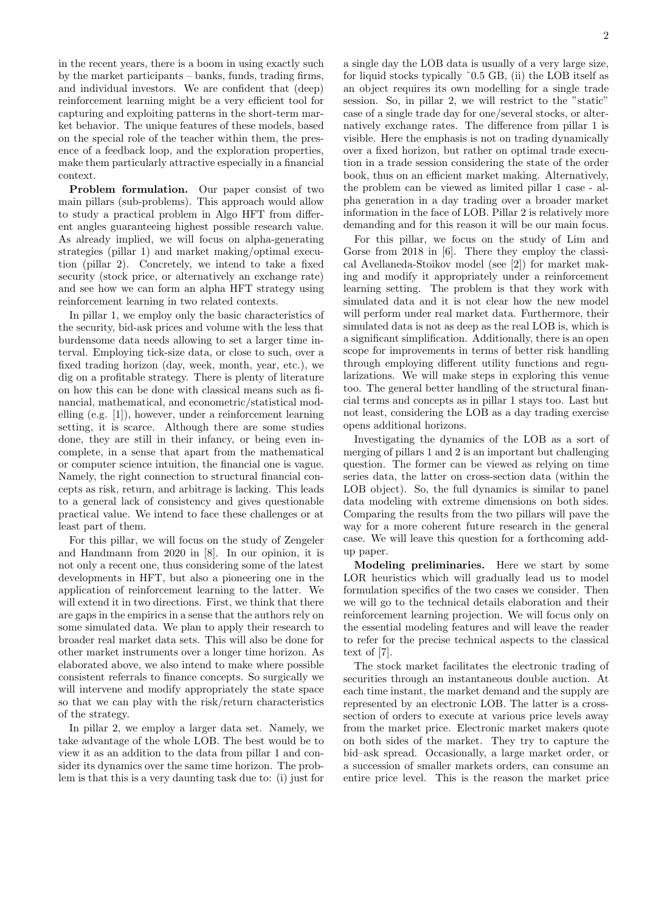in the recent years, there is a boom in using exactly such by the market participants – banks, funds, trading firms, and individual investors. We are confident that (deep) reinforcement learning might be a very efficient tool for capturing and exploiting patterns in the short-term market behavior. The unique features of these models, based on the special role of the teacher within them, the presence of a feedback loop, and the exploration properties, make them particularly attractive especially in a financial context.

Problem formulation. Our paper consist of two main pillars (sub-problems). This approach would allow to study a practical problem in Algo HFT from different angles guaranteeing highest possible research value. As already implied, we will focus on alpha-generating strategies (pillar 1) and market making/optimal execution (pillar 2). Concretely, we intend to take a fixed security (stock price, or alternatively an exchange rate) and see how we can form an alpha HFT strategy using reinforcement learning in two related contexts.

In pillar 1, we employ only the basic characteristics of the security, bid-ask prices and volume with the less that burdensome data needs allowing to set a larger time interval. Employing tick-size data, or close to such, over a fixed trading horizon (day, week, month, year, etc.), we dig on a profitable strategy. There is plenty of literature on how this can be done with classical means such as financial, mathematical, and econometric/statistical modelling (e.g. [1]), however, under a reinforcement learning setting, it is scarce. Although there are some studies done, they are still in their infancy, or being even incomplete, in a sense that apart from the mathematical or computer science intuition, the financial one is vague. Namely, the right connection to structural financial concepts as risk, return, and arbitrage is lacking. This leads to a general lack of consistency and gives questionable practical value. We intend to face these challenges or at least part of them.

For this pillar, we will focus on the study of Zengeler and Handmann from 2020 in [8]. In our opinion, it is not only a recent one, thus considering some of the latest developments in HFT, but also a pioneering one in the application of reinforcement learning to the latter. We will extend it in two directions. First, we think that there are gaps in the empirics in a sense that the authors rely on some simulated data. We plan to apply their research to broader real market data sets. This will also be done for other market instruments over a longer time horizon. As elaborated above, we also intend to make where possible consistent referrals to finance concepts. So surgically we will intervene and modify appropriately the state space so that we can play with the risk/return characteristics of the strategy.

In pillar 2, we employ a larger data set. Namely, we take advantage of the whole LOB. The best would be to view it as an addition to the data from pillar 1 and consider its dynamics over the same time horizon. The problem is that this is a very daunting task due to: (i) just for a single day the LOB data is usually of a very large size, for liquid stocks typically ˜0.5 GB, (ii) the LOB itself as an object requires its own modelling for a single trade session. So, in pillar 2, we will restrict to the "static" case of a single trade day for one/several stocks, or alternatively exchange rates. The difference from pillar 1 is visible. Here the emphasis is not on trading dynamically over a fixed horizon, but rather on optimal trade execution in a trade session considering the state of the order book, thus on an efficient market making. Alternatively, the problem can be viewed as limited pillar 1 case - alpha generation in a day trading over a broader market information in the face of LOB. Pillar 2 is relatively more demanding and for this reason it will be our main focus.

For this pillar, we focus on the study of Lim and Gorse from 2018 in [6]. There they employ the classical Avellaneda-Stoikov model (see [2]) for market making and modify it appropriately under a reinforcement learning setting. The problem is that they work with simulated data and it is not clear how the new model will perform under real market data. Furthermore, their simulated data is not as deep as the real LOB is, which is a significant simplification. Additionally, there is an open scope for improvements in terms of better risk handling through employing different utility functions and regularizations. We will make steps in exploring this venue too. The general better handling of the structural financial terms and concepts as in pillar 1 stays too. Last but not least, considering the LOB as a day trading exercise opens additional horizons.

Investigating the dynamics of the LOB as a sort of merging of pillars 1 and 2 is an important but challenging question. The former can be viewed as relying on time series data, the latter on cross-section data (within the LOB object). So, the full dynamics is similar to panel data modeling with extreme dimensions on both sides. Comparing the results from the two pillars will pave the way for a more coherent future research in the general case. We will leave this question for a forthcoming addup paper.

Modeling preliminaries. Here we start by some LOR heuristics which will gradually lead us to model formulation specifics of the two cases we consider. Then we will go to the technical details elaboration and their reinforcement learning projection. We will focus only on the essential modeling features and will leave the reader to refer for the precise technical aspects to the classical text of [7].

The stock market facilitates the electronic trading of securities through an instantaneous double auction. At each time instant, the market demand and the supply are represented by an electronic LOB. The latter is a crosssection of orders to execute at various price levels away from the market price. Electronic market makers quote on both sides of the market. They try to capture the bid–ask spread. Occasionally, a large market order, or a succession of smaller markets orders, can consume an entire price level. This is the reason the market price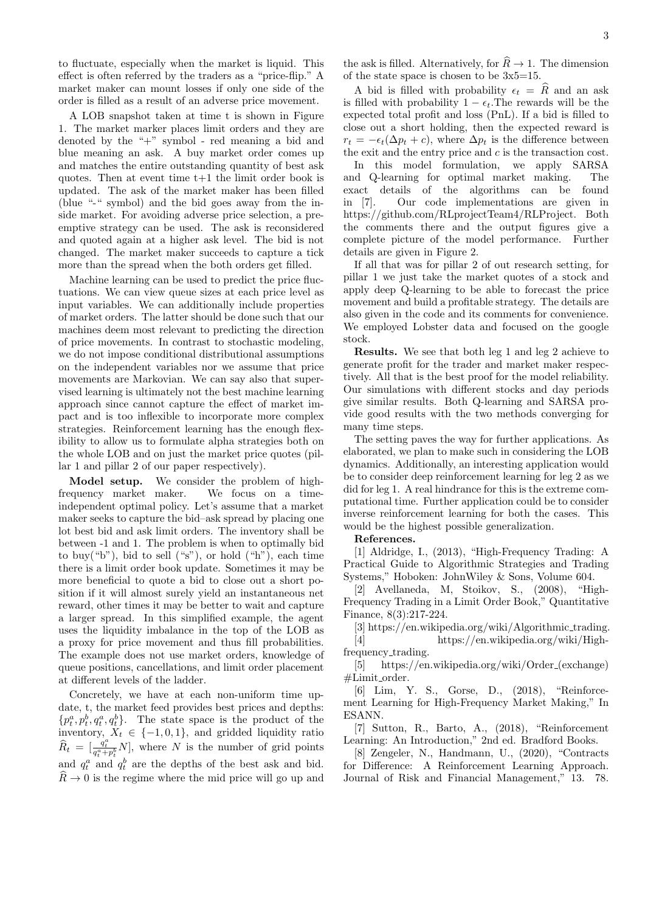to fluctuate, especially when the market is liquid. This effect is often referred by the traders as a "price-flip." A market maker can mount losses if only one side of the order is filled as a result of an adverse price movement.

A LOB snapshot taken at time t is shown in Figure 1. The market marker places limit orders and they are denoted by the "+" symbol - red meaning a bid and blue meaning an ask. A buy market order comes up and matches the entire outstanding quantity of best ask quotes. Then at event time t+1 the limit order book is updated. The ask of the market maker has been filled (blue "-" symbol) and the bid goes away from the inside market. For avoiding adverse price selection, a preemptive strategy can be used. The ask is reconsidered and quoted again at a higher ask level. The bid is not changed. The market maker succeeds to capture a tick more than the spread when the both orders get filled.

Machine learning can be used to predict the price fluctuations. We can view queue sizes at each price level as input variables. We can additionally include properties of market orders. The latter should be done such that our machines deem most relevant to predicting the direction of price movements. In contrast to stochastic modeling, we do not impose conditional distributional assumptions on the independent variables nor we assume that price movements are Markovian. We can say also that supervised learning is ultimately not the best machine learning approach since cannot capture the effect of market impact and is too inflexible to incorporate more complex strategies. Reinforcement learning has the enough flexibility to allow us to formulate alpha strategies both on the whole LOB and on just the market price quotes (pillar 1 and pillar 2 of our paper respectively).

Model setup. We consider the problem of highfrequency market maker. We focus on a timeindependent optimal policy. Let's assume that a market maker seeks to capture the bid–ask spread by placing one lot best bid and ask limit orders. The inventory shall be between -1 and 1. The problem is when to optimally bid to buy("b"), bid to sell ("s"), or hold ("h"), each time there is a limit order book update. Sometimes it may be more beneficial to quote a bid to close out a short position if it will almost surely yield an instantaneous net reward, other times it may be better to wait and capture a larger spread. In this simplified example, the agent uses the liquidity imbalance in the top of the LOB as a proxy for price movement and thus fill probabilities. The example does not use market orders, knowledge of queue positions, cancellations, and limit order placement at different levels of the ladder.

Concretely, we have at each non-uniform time update, t, the market feed provides best prices and depths:  $\{p_t^a, p_t^b, q_t^a, q_t^b\}$ . The state space is the product of the inventory,  $X_t \in \{-1,0,1\}$ , and gridded liquidity ratio  $\widehat{R}_t = \begin{bmatrix} \frac{q_t^a}{q_t^a + p_t^b} N \end{bmatrix}$ , where N is the number of grid points and  $q_t^a$  and  $q_t^b$  are the depths of the best ask and bid.  $R\to 0$  is the regime where the mid price will go up and

the ask is filled. Alternatively, for  $\hat{R} \rightarrow 1$ . The dimension of the state space is chosen to be 3x5=15.

A bid is filled with probability  $\epsilon_t = \widehat{R}$  and an ask is filled with probability  $1 - \epsilon_t$ . The rewards will be the expected total profit and loss (PnL). If a bid is filled to close out a short holding, then the expected reward is  $r_t = -\epsilon_t(\Delta p_t + c)$ , where  $\Delta p_t$  is the difference between the exit and the entry price and  $c$  is the transaction cost.

In this model formulation, we apply SARSA and Q-learning for optimal market making. The exact details of the algorithms can be found in [7]. Our code implementations are given in https://github.com/RLprojectTeam4/RLProject. Both the comments there and the output figures give a complete picture of the model performance. Further details are given in Figure 2.

If all that was for pillar 2 of out research setting, for pillar 1 we just take the market quotes of a stock and apply deep Q-learning to be able to forecast the price movement and build a profitable strategy. The details are also given in the code and its comments for convenience. We employed Lobster data and focused on the google stock.

Results. We see that both leg 1 and leg 2 achieve to generate profit for the trader and market maker respectively. All that is the best proof for the model reliability. Our simulations with different stocks and day periods give similar results. Both Q-learning and SARSA provide good results with the two methods converging for many time steps.

The setting paves the way for further applications. As elaborated, we plan to make such in considering the LOB dynamics. Additionally, an interesting application would be to consider deep reinforcement learning for leg 2 as we did for leg 1. A real hindrance for this is the extreme computational time. Further application could be to consider inverse reinforcement learning for both the cases. This would be the highest possible generalization.

## References.

[1] Aldridge, I., (2013), "High-Frequency Trading: A Practical Guide to Algorithmic Strategies and Trading Systems," Hoboken: JohnWiley & Sons, Volume 604.

[2] Avellaneda, M, Stoikov, S., (2008), "High-Frequency Trading in a Limit Order Book," Quantitative Finance, 8(3):217-224.

[3] https://en.wikipedia.org/wiki/Algorithmic trading. [4] https://en.wikipedia.org/wiki/Highfrequency\_trading.

[5] https://en.wikipedia.org/wiki/Order (exchange)  $#Limit-order.$ 

[6] Lim, Y. S., Gorse, D., (2018), "Reinforcement Learning for High-Frequency Market Making," In ESANN.

[7] Sutton, R., Barto, A., (2018), "Reinforcement Learning: An Introduction," 2nd ed. Bradford Books.

[8] Zengeler, N., Handmann, U., (2020), "Contracts for Difference: A Reinforcement Learning Approach. Journal of Risk and Financial Management," 13. 78.